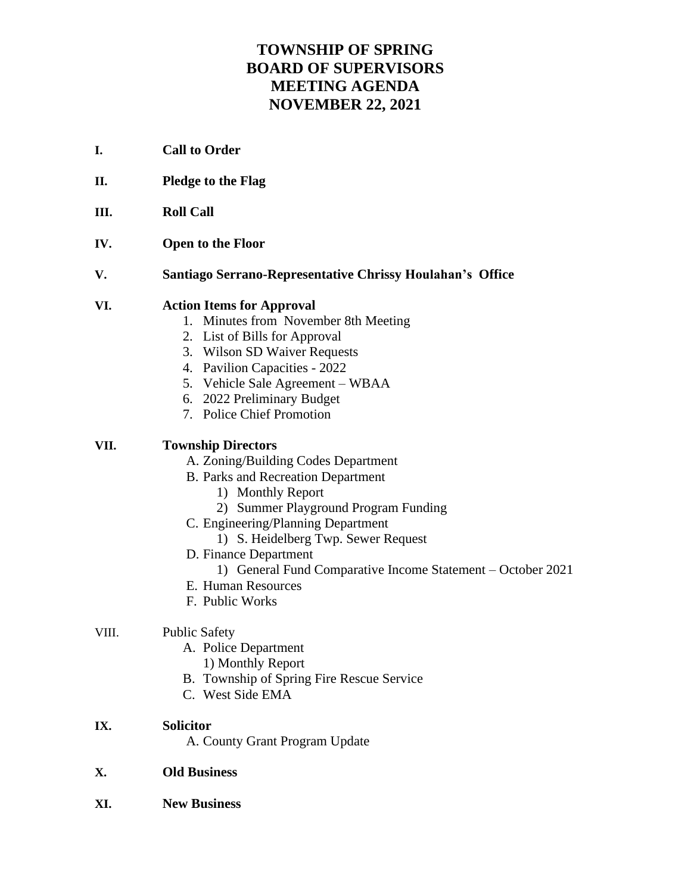# **TOWNSHIP OF SPRING BOARD OF SUPERVISORS MEETING AGENDA NOVEMBER 22, 2021**

- **I. Call to Order**
- **II. Pledge to the Flag**
- **III. Roll Call**
- **IV. Open to the Floor**
- **V. Santiago Serrano-Representative Chrissy Houlahan's Office**

## **VI. Action Items for Approval**

- 1. Minutes from November 8th Meeting
- 2. List of Bills for Approval
- 3. Wilson SD Waiver Requests
- 4. Pavilion Capacities 2022
- 5. Vehicle Sale Agreement WBAA
- 6. 2022 Preliminary Budget
- 7. Police Chief Promotion

## **VII. Township Directors**

- A. Zoning/Building Codes Department
- B. Parks and Recreation Department
	- 1) Monthly Report
	- 2) Summer Playground Program Funding
- C. Engineering/Planning Department
	- 1) S. Heidelberg Twp. Sewer Request
- D. Finance Department
	- 1) General Fund Comparative Income Statement October 2021
- E. Human Resources
- F. Public Works

## VIII. Public Safety

- A. Police Department
	- 1) Monthly Report
- B. Township of Spring Fire Rescue Service
- C. West Side EMA

#### **IX. Solicitor**

A. County Grant Program Update

## **X. Old Business**

**XI. New Business**